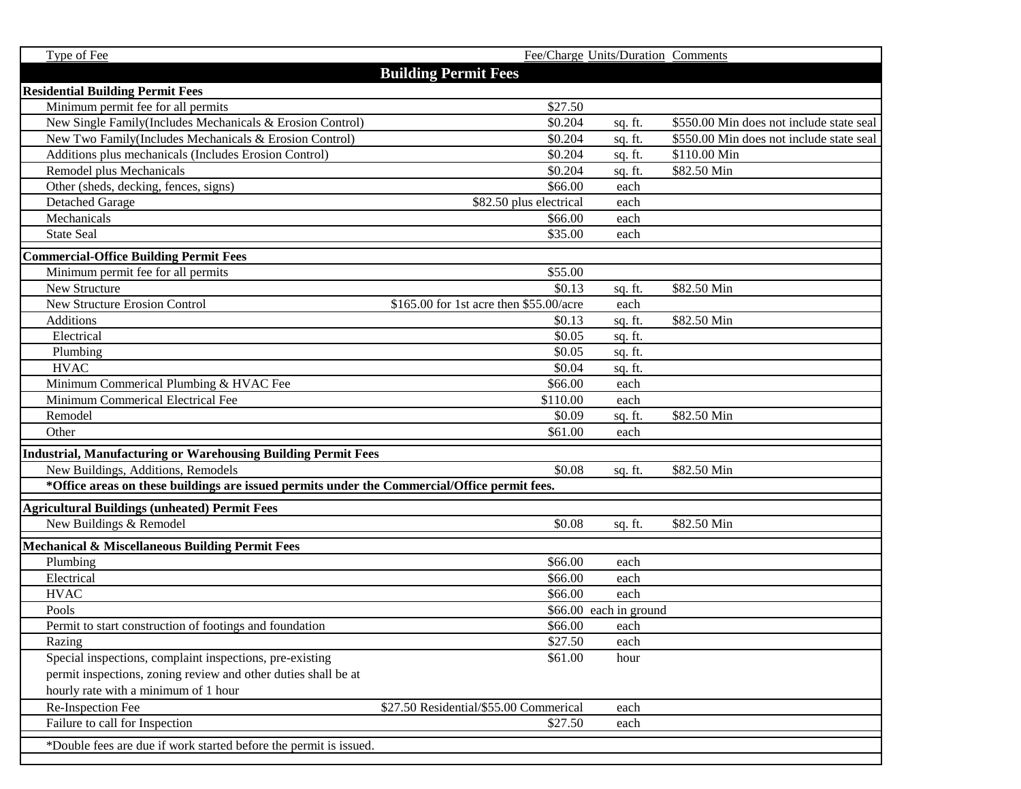| Type of Fee                                                                                  |                                         | Fee/Charge Units/Duration Comments |                                          |  |  |
|----------------------------------------------------------------------------------------------|-----------------------------------------|------------------------------------|------------------------------------------|--|--|
|                                                                                              | <b>Building Permit Fees</b>             |                                    |                                          |  |  |
| <b>Residential Building Permit Fees</b>                                                      |                                         |                                    |                                          |  |  |
| Minimum permit fee for all permits                                                           | \$27.50                                 |                                    |                                          |  |  |
| New Single Family (Includes Mechanicals & Erosion Control)                                   | \$0.204                                 | sq. ft.                            | \$550.00 Min does not include state seal |  |  |
| New Two Family (Includes Mechanicals & Erosion Control)                                      | \$0.204                                 | sq. ft.                            | \$550.00 Min does not include state seal |  |  |
| Additions plus mechanicals (Includes Erosion Control)                                        | \$0.204                                 | sq. ft.                            | \$110.00 Min                             |  |  |
| Remodel plus Mechanicals                                                                     | \$0.204                                 | sq. ft.                            | \$82.50 Min                              |  |  |
| Other (sheds, decking, fences, signs)                                                        | \$66.00                                 | each                               |                                          |  |  |
| <b>Detached Garage</b>                                                                       | \$82.50 plus electrical                 | each                               |                                          |  |  |
| Mechanicals                                                                                  | \$66.00                                 | each                               |                                          |  |  |
| <b>State Seal</b>                                                                            | \$35.00                                 | each                               |                                          |  |  |
| <b>Commercial-Office Building Permit Fees</b>                                                |                                         |                                    |                                          |  |  |
| Minimum permit fee for all permits                                                           | \$55.00                                 |                                    |                                          |  |  |
| New Structure                                                                                | \$0.13                                  | sq. ft.                            | \$82.50 Min                              |  |  |
| <b>New Structure Erosion Control</b>                                                         | \$165.00 for 1st acre then \$55.00/acre | each                               |                                          |  |  |
| <b>Additions</b>                                                                             | \$0.13                                  | sq. ft.                            | \$82.50 Min                              |  |  |
| Electrical                                                                                   | \$0.05                                  | sq. ft.                            |                                          |  |  |
| Plumbing                                                                                     | \$0.05                                  | sq. ft.                            |                                          |  |  |
| <b>HVAC</b>                                                                                  | \$0.04                                  | sq. ft.                            |                                          |  |  |
| Minimum Commerical Plumbing & HVAC Fee                                                       | \$66.00                                 | each                               |                                          |  |  |
| Minimum Commerical Electrical Fee                                                            | \$110.00                                | each                               |                                          |  |  |
| Remodel                                                                                      | \$0.09                                  | sq. ft.                            | \$82.50 Min                              |  |  |
| Other                                                                                        | \$61.00                                 | each                               |                                          |  |  |
| <b>Industrial, Manufacturing or Warehousing Building Permit Fees</b>                         |                                         |                                    |                                          |  |  |
| New Buildings, Additions, Remodels                                                           | \$0.08                                  | sq. ft.                            | \$82.50 Min                              |  |  |
| *Office areas on these buildings are issued permits under the Commercial/Office permit fees. |                                         |                                    |                                          |  |  |
| <b>Agricultural Buildings (unheated) Permit Fees</b>                                         |                                         |                                    |                                          |  |  |
| New Buildings & Remodel                                                                      | \$0.08                                  | sq. ft.                            | \$82.50 Min                              |  |  |
| Mechanical & Miscellaneous Building Permit Fees                                              |                                         |                                    |                                          |  |  |
| Plumbing                                                                                     | \$66.00                                 | each                               |                                          |  |  |
| Electrical                                                                                   | \$66.00                                 | each                               |                                          |  |  |
| <b>HVAC</b>                                                                                  | \$66.00                                 | each                               |                                          |  |  |
| Pools                                                                                        | \$66.00 each in ground                  |                                    |                                          |  |  |
| Permit to start construction of footings and foundation                                      | \$66.00                                 | each                               |                                          |  |  |
| Razing                                                                                       | \$27.50                                 | each                               |                                          |  |  |
| Special inspections, complaint inspections, pre-existing                                     | \$61.00                                 | hour                               |                                          |  |  |
| permit inspections, zoning review and other duties shall be at                               |                                         |                                    |                                          |  |  |
| hourly rate with a minimum of 1 hour                                                         |                                         |                                    |                                          |  |  |
| Re-Inspection Fee                                                                            | \$27.50 Residential/\$55.00 Commerical  | each                               |                                          |  |  |
| Failure to call for Inspection                                                               | \$27.50                                 | each                               |                                          |  |  |
| *Double fees are due if work started before the permit is issued.                            |                                         |                                    |                                          |  |  |